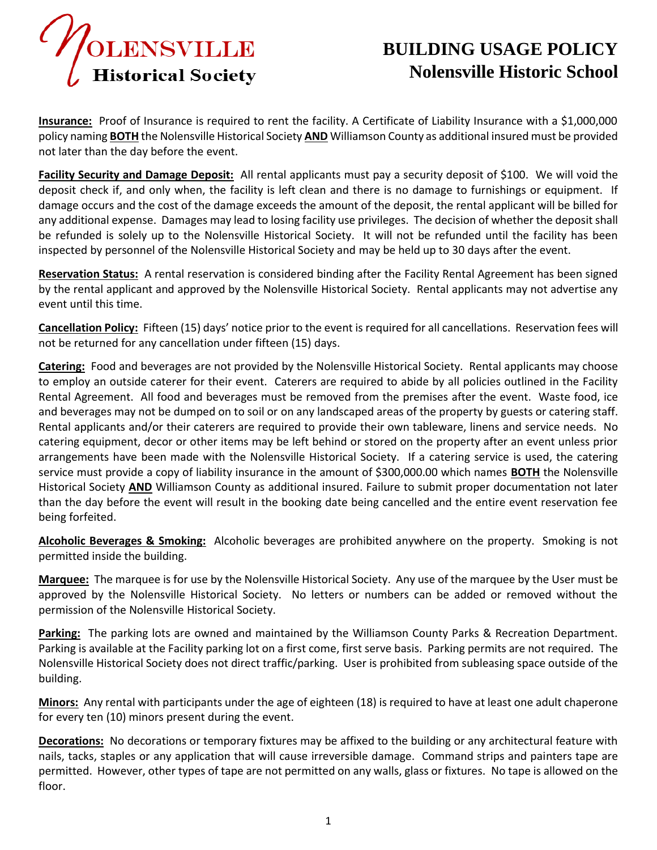

## **BUILDING USAGE POLICY Nolensville Historic School**

**Insurance:** Proof of Insurance is required to rent the facility. A Certificate of Liability Insurance with a \$1,000,000 policy naming **BOTH** the Nolensville Historical Society **AND** Williamson County as additional insured must be provided not later than the day before the event.

**Facility Security and Damage Deposit:** All rental applicants must pay a security deposit of \$100. We will void the deposit check if, and only when, the facility is left clean and there is no damage to furnishings or equipment. If damage occurs and the cost of the damage exceeds the amount of the deposit, the rental applicant will be billed for any additional expense. Damages may lead to losing facility use privileges. The decision of whether the deposit shall be refunded is solely up to the Nolensville Historical Society. It will not be refunded until the facility has been inspected by personnel of the Nolensville Historical Society and may be held up to 30 days after the event.

**Reservation Status:** A rental reservation is considered binding after the Facility Rental Agreement has been signed by the rental applicant and approved by the Nolensville Historical Society. Rental applicants may not advertise any event until this time.

**Cancellation Policy:** Fifteen (15) days' notice prior to the event is required for all cancellations. Reservation fees will not be returned for any cancellation under fifteen (15) days.

**Catering:** Food and beverages are not provided by the Nolensville Historical Society. Rental applicants may choose to employ an outside caterer for their event. Caterers are required to abide by all policies outlined in the Facility Rental Agreement. All food and beverages must be removed from the premises after the event. Waste food, ice and beverages may not be dumped on to soil or on any landscaped areas of the property by guests or catering staff. Rental applicants and/or their caterers are required to provide their own tableware, linens and service needs. No catering equipment, decor or other items may be left behind or stored on the property after an event unless prior arrangements have been made with the Nolensville Historical Society. If a catering service is used, the catering service must provide a copy of liability insurance in the amount of \$300,000.00 which names **BOTH** the Nolensville Historical Society **AND** Williamson County as additional insured. Failure to submit proper documentation not later than the day before the event will result in the booking date being cancelled and the entire event reservation fee being forfeited.

**Alcoholic Beverages & Smoking:** Alcoholic beverages are prohibited anywhere on the property. Smoking is not permitted inside the building.

**Marquee:** The marquee is for use by the Nolensville Historical Society. Any use of the marquee by the User must be approved by the Nolensville Historical Society. No letters or numbers can be added or removed without the permission of the Nolensville Historical Society.

**Parking:** The parking lots are owned and maintained by the Williamson County Parks & Recreation Department. Parking is available at the Facility parking lot on a first come, first serve basis. Parking permits are not required. The Nolensville Historical Society does not direct traffic/parking. User is prohibited from subleasing space outside of the building.

**Minors:** Any rental with participants under the age of eighteen (18) is required to have at least one adult chaperone for every ten (10) minors present during the event.

**Decorations:** No decorations or temporary fixtures may be affixed to the building or any architectural feature with nails, tacks, staples or any application that will cause irreversible damage. Command strips and painters tape are permitted. However, other types of tape are not permitted on any walls, glass or fixtures. No tape is allowed on the floor.